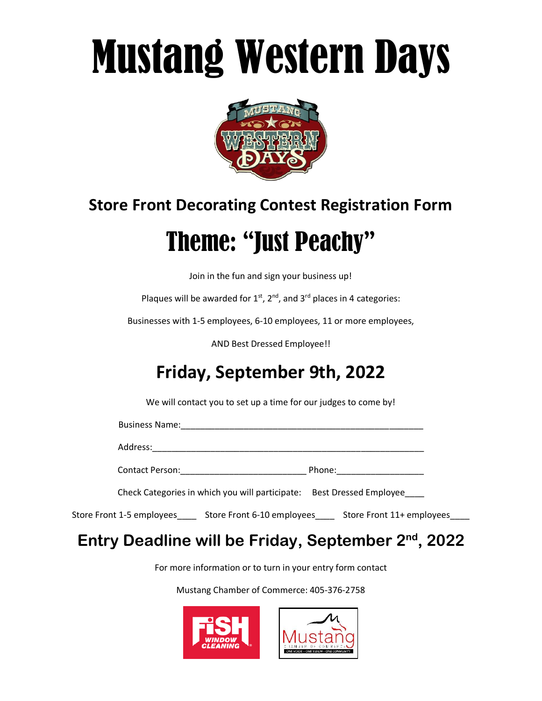# Mustang Western Days



### **Store Front Decorating Contest Registration Form**

## Theme: "Just Peachy"

Join in the fun and sign your business up!

Plaques will be awarded for  $1<sup>st</sup>$ ,  $2<sup>nd</sup>$ , and  $3<sup>rd</sup>$  places in 4 categories:

Businesses with 1-5 employees, 6-10 employees, 11 or more employees,

AND Best Dressed Employee!!

### **Friday, September 9th, 2022**

We will contact you to set up a time for our judges to come by!

Business Name:

Address:

Contact Person:\_\_\_\_\_\_\_\_\_\_\_\_\_\_\_\_\_\_\_\_\_\_\_\_\_\_ Phone:\_\_\_\_\_\_\_\_\_\_\_\_\_\_\_\_\_\_

Check Categories in which you will participate: Best Dressed Employee\_\_\_\_

Store Front 1-5 employees\_\_\_\_ Store Front 6-10 employees\_\_\_\_ Store Front 11+ employees\_\_\_\_

#### Entry Deadline will be Friday, September 2<sup>nd</sup>, 2022

For more information or to turn in your entry form contact

Mustang Chamber of Commerce: 405-376-2758